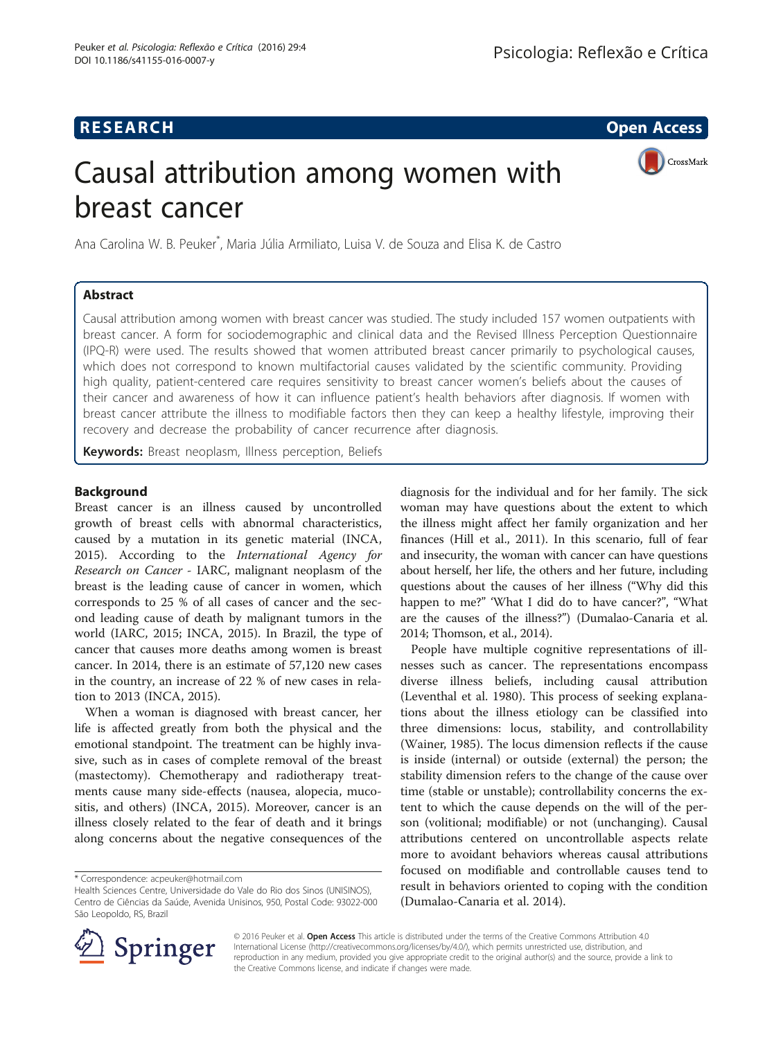## **RESEARCH CHE Open Access**

CrossMark

# Causal attribution among women with breast cancer

Ana Carolina W. B. Peuker\* , Maria Júlia Armiliato, Luisa V. de Souza and Elisa K. de Castro

## Abstract

Causal attribution among women with breast cancer was studied. The study included 157 women outpatients with breast cancer. A form for sociodemographic and clinical data and the Revised Illness Perception Questionnaire (IPQ-R) were used. The results showed that women attributed breast cancer primarily to psychological causes, which does not correspond to known multifactorial causes validated by the scientific community. Providing high quality, patient-centered care requires sensitivity to breast cancer women's beliefs about the causes of their cancer and awareness of how it can influence patient's health behaviors after diagnosis. If women with breast cancer attribute the illness to modifiable factors then they can keep a healthy lifestyle, improving their recovery and decrease the probability of cancer recurrence after diagnosis.

Keywords: Breast neoplasm, Illness perception, Beliefs

## Background

Breast cancer is an illness caused by uncontrolled growth of breast cells with abnormal characteristics, caused by a mutation in its genetic material (INCA, [2015](#page-5-0)). According to the International Agency for Research on Cancer - IARC, malignant neoplasm of the breast is the leading cause of cancer in women, which corresponds to 25 % of all cases of cancer and the second leading cause of death by malignant tumors in the world (IARC, [2015](#page-5-0); INCA, [2015](#page-5-0)). In Brazil, the type of cancer that causes more deaths among women is breast cancer. In 2014, there is an estimate of 57,120 new cases in the country, an increase of 22 % of new cases in relation to 2013 (INCA, [2015\)](#page-5-0).

When a woman is diagnosed with breast cancer, her life is affected greatly from both the physical and the emotional standpoint. The treatment can be highly invasive, such as in cases of complete removal of the breast (mastectomy). Chemotherapy and radiotherapy treatments cause many side-effects (nausea, alopecia, mucositis, and others) (INCA, [2015\)](#page-5-0). Moreover, cancer is an illness closely related to the fear of death and it brings along concerns about the negative consequences of the diagnosis for the individual and for her family. The sick woman may have questions about the extent to which the illness might affect her family organization and her finances (Hill et al., [2011\)](#page-5-0). In this scenario, full of fear and insecurity, the woman with cancer can have questions about herself, her life, the others and her future, including questions about the causes of her illness ("Why did this happen to me?" 'What I did do to have cancer?", "What are the causes of the illness?") (Dumalao-Canaria et al. [2014;](#page-5-0) Thomson, et al., [2014\)](#page-5-0).

People have multiple cognitive representations of illnesses such as cancer. The representations encompass diverse illness beliefs, including causal attribution (Leventhal et al. [1980](#page-5-0)). This process of seeking explanations about the illness etiology can be classified into three dimensions: locus, stability, and controllability (Wainer, [1985](#page-5-0)). The locus dimension reflects if the cause is inside (internal) or outside (external) the person; the stability dimension refers to the change of the cause over time (stable or unstable); controllability concerns the extent to which the cause depends on the will of the person (volitional; modifiable) or not (unchanging). Causal attributions centered on uncontrollable aspects relate more to avoidant behaviors whereas causal attributions focused on modifiable and controllable causes tend to result in behaviors oriented to coping with the condition (Dumalao-Canaria et al. [2014](#page-5-0)).



© 2016 Peuker et al. Open Access This article is distributed under the terms of the Creative Commons Attribution 4.0 International License ([http://creativecommons.org/licenses/by/4.0/\)](http://creativecommons.org/licenses/by/4.0/), which permits unrestricted use, distribution, and reproduction in any medium, provided you give appropriate credit to the original author(s) and the source, provide a link to the Creative Commons license, and indicate if changes were made.

<sup>\*</sup> Correspondence: [acpeuker@hotmail.com](mailto:acpeuker@hotmail.com)

Health Sciences Centre, Universidade do Vale do Rio dos Sinos (UNISINOS), Centro de Ciências da Saúde, Avenida Unisinos, 950, Postal Code: 93022-000 São Leopoldo, RS, Brazil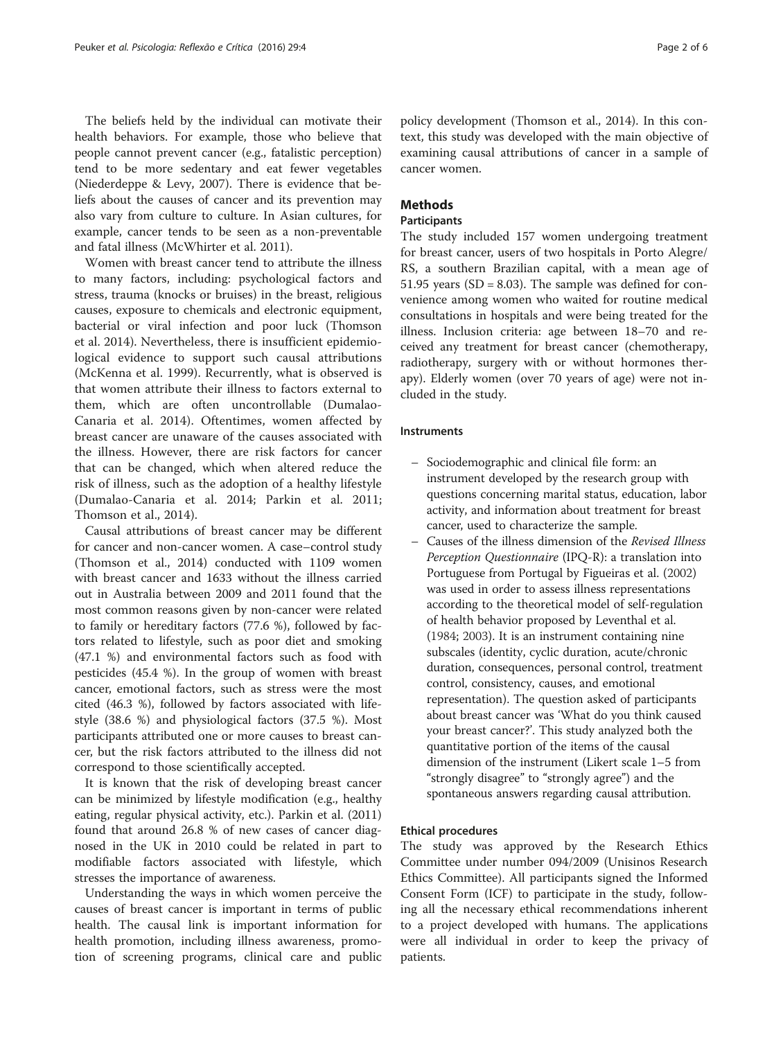The beliefs held by the individual can motivate their health behaviors. For example, those who believe that people cannot prevent cancer (e.g., fatalistic perception) tend to be more sedentary and eat fewer vegetables (Niederdeppe & Levy, [2007](#page-5-0)). There is evidence that beliefs about the causes of cancer and its prevention may also vary from culture to culture. In Asian cultures, for example, cancer tends to be seen as a non-preventable and fatal illness (McWhirter et al. [2011](#page-5-0)).

Women with breast cancer tend to attribute the illness to many factors, including: psychological factors and stress, trauma (knocks or bruises) in the breast, religious causes, exposure to chemicals and electronic equipment, bacterial or viral infection and poor luck (Thomson et al. [2014\)](#page-5-0). Nevertheless, there is insufficient epidemiological evidence to support such causal attributions (McKenna et al. [1999](#page-5-0)). Recurrently, what is observed is that women attribute their illness to factors external to them, which are often uncontrollable (Dumalao-Canaria et al. [2014](#page-5-0)). Oftentimes, women affected by breast cancer are unaware of the causes associated with the illness. However, there are risk factors for cancer that can be changed, which when altered reduce the risk of illness, such as the adoption of a healthy lifestyle (Dumalao-Canaria et al. [2014;](#page-5-0) Parkin et al. [2011](#page-5-0); Thomson et al., [2014\)](#page-5-0).

Causal attributions of breast cancer may be different for cancer and non-cancer women. A case–control study (Thomson et al., [2014\)](#page-5-0) conducted with 1109 women with breast cancer and 1633 without the illness carried out in Australia between 2009 and 2011 found that the most common reasons given by non-cancer were related to family or hereditary factors (77.6 %), followed by factors related to lifestyle, such as poor diet and smoking (47.1 %) and environmental factors such as food with pesticides (45.4 %). In the group of women with breast cancer, emotional factors, such as stress were the most cited (46.3 %), followed by factors associated with lifestyle (38.6 %) and physiological factors (37.5 %). Most participants attributed one or more causes to breast cancer, but the risk factors attributed to the illness did not correspond to those scientifically accepted.

It is known that the risk of developing breast cancer can be minimized by lifestyle modification (e.g., healthy eating, regular physical activity, etc.). Parkin et al. ([2011](#page-5-0)) found that around 26.8 % of new cases of cancer diagnosed in the UK in 2010 could be related in part to modifiable factors associated with lifestyle, which stresses the importance of awareness.

Understanding the ways in which women perceive the causes of breast cancer is important in terms of public health. The causal link is important information for health promotion, including illness awareness, promotion of screening programs, clinical care and public

policy development (Thomson et al., [2014\)](#page-5-0). In this context, this study was developed with the main objective of examining causal attributions of cancer in a sample of cancer women.

## Methods

## Participants

The study included 157 women undergoing treatment for breast cancer, users of two hospitals in Porto Alegre/ RS, a southern Brazilian capital, with a mean age of 51.95 years (SD = 8.03). The sample was defined for convenience among women who waited for routine medical consultations in hospitals and were being treated for the illness. Inclusion criteria: age between 18–70 and received any treatment for breast cancer (chemotherapy, radiotherapy, surgery with or without hormones therapy). Elderly women (over 70 years of age) were not included in the study.

## Instruments

- Sociodemographic and clinical file form: an instrument developed by the research group with questions concerning marital status, education, labor activity, and information about treatment for breast cancer, used to characterize the sample.
- Causes of the illness dimension of the Revised Illness Perception Questionnaire (IPQ-R): a translation into Portuguese from Portugal by Figueiras et al. ([2002\)](#page-5-0) was used in order to assess illness representations according to the theoretical model of self-regulation of health behavior proposed by Leventhal et al. ([1984](#page-5-0); [2003](#page-5-0)). It is an instrument containing nine subscales (identity, cyclic duration, acute/chronic duration, consequences, personal control, treatment control, consistency, causes, and emotional representation). The question asked of participants about breast cancer was 'What do you think caused your breast cancer?'. This study analyzed both the quantitative portion of the items of the causal dimension of the instrument (Likert scale 1–5 from "strongly disagree" to "strongly agree") and the spontaneous answers regarding causal attribution.

## Ethical procedures

The study was approved by the Research Ethics Committee under number 094/2009 (Unisinos Research Ethics Committee). All participants signed the Informed Consent Form (ICF) to participate in the study, following all the necessary ethical recommendations inherent to a project developed with humans. The applications were all individual in order to keep the privacy of patients.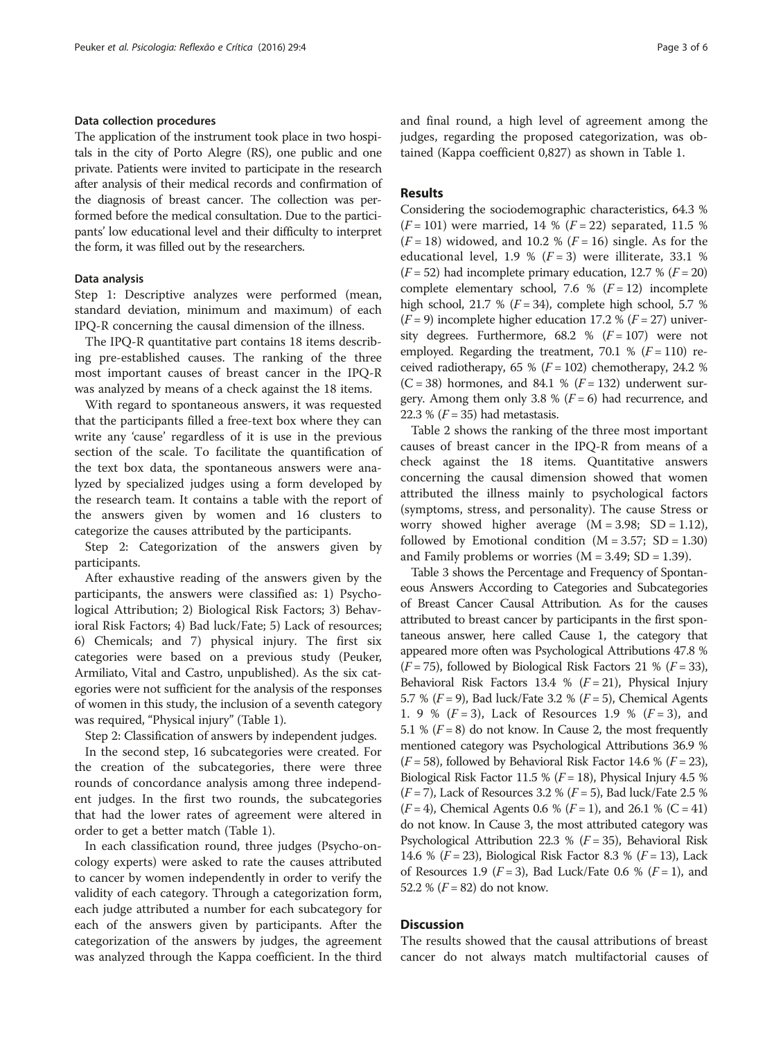#### Data collection procedures

The application of the instrument took place in two hospitals in the city of Porto Alegre (RS), one public and one private. Patients were invited to participate in the research after analysis of their medical records and confirmation of the diagnosis of breast cancer. The collection was performed before the medical consultation. Due to the participants' low educational level and their difficulty to interpret the form, it was filled out by the researchers.

#### Data analysis

Step 1: Descriptive analyzes were performed (mean, standard deviation, minimum and maximum) of each IPQ-R concerning the causal dimension of the illness.

The IPQ-R quantitative part contains 18 items describing pre-established causes. The ranking of the three most important causes of breast cancer in the IPQ-R was analyzed by means of a check against the 18 items.

With regard to spontaneous answers, it was requested that the participants filled a free-text box where they can write any 'cause' regardless of it is use in the previous section of the scale. To facilitate the quantification of the text box data, the spontaneous answers were analyzed by specialized judges using a form developed by the research team. It contains a table with the report of the answers given by women and 16 clusters to categorize the causes attributed by the participants.

Step 2: Categorization of the answers given by participants.

After exhaustive reading of the answers given by the participants, the answers were classified as: 1) Psychological Attribution; 2) Biological Risk Factors; 3) Behavioral Risk Factors; 4) Bad luck/Fate; 5) Lack of resources; 6) Chemicals; and 7) physical injury. The first six categories were based on a previous study (Peuker, Armiliato, Vital and Castro, unpublished). As the six categories were not sufficient for the analysis of the responses of women in this study, the inclusion of a seventh category was required, "Physical injury" (Table [1\)](#page-3-0).

Step 2: Classification of answers by independent judges.

In the second step, 16 subcategories were created. For the creation of the subcategories, there were three rounds of concordance analysis among three independent judges. In the first two rounds, the subcategories that had the lower rates of agreement were altered in order to get a better match (Table [1\)](#page-3-0).

In each classification round, three judges (Psycho-oncology experts) were asked to rate the causes attributed to cancer by women independently in order to verify the validity of each category. Through a categorization form, each judge attributed a number for each subcategory for each of the answers given by participants. After the categorization of the answers by judges, the agreement was analyzed through the Kappa coefficient. In the third and final round, a high level of agreement among the judges, regarding the proposed categorization, was obtained (Kappa coefficient 0,827) as shown in Table [1](#page-3-0).

## Results

Considering the sociodemographic characteristics, 64.3 %  $(F = 101)$  were married, 14 %  $(F = 22)$  separated, 11.5 %  $(F = 18)$  widowed, and 10.2 %  $(F = 16)$  single. As for the educational level, 1.9 %  $(F = 3)$  were illiterate, 33.1 %  $(F = 52)$  had incomplete primary education, 12.7 %  $(F = 20)$ complete elementary school, 7.6 %  $(F = 12)$  incomplete high school, 21.7 %  $(F = 34)$ , complete high school, 5.7 %  $(F = 9)$  incomplete higher education 17.2 %  $(F = 27)$  university degrees. Furthermore, 68.2 %  $(F = 107)$  were not employed. Regarding the treatment, 70.1 %  $(F = 110)$  received radiotherapy, 65 %  $(F = 102)$  chemotherapy, 24.2 %  $(C = 38)$  hormones, and 84.1 %  $(F = 132)$  underwent surgery. Among them only 3.8 %  $(F = 6)$  had recurrence, and 22.3 %  $(F = 35)$  had metastasis.

Table [2](#page-3-0) shows the ranking of the three most important causes of breast cancer in the IPQ-R from means of a check against the 18 items. Quantitative answers concerning the causal dimension showed that women attributed the illness mainly to psychological factors (symptoms, stress, and personality). The cause Stress or worry showed higher average  $(M = 3.98; SD = 1.12)$ , followed by Emotional condition  $(M = 3.57; SD = 1.30)$ and Family problems or worries  $(M = 3.49; SD = 1.39)$ .

Table [3](#page-4-0) shows the Percentage and Frequency of Spontaneous Answers According to Categories and Subcategories of Breast Cancer Causal Attribution. As for the causes attributed to breast cancer by participants in the first spontaneous answer, here called Cause 1, the category that appeared more often was Psychological Attributions 47.8 %  $(F = 75)$ , followed by Biological Risk Factors 21 %  $(F = 33)$ , Behavioral Risk Factors 13.4 %  $(F = 21)$ , Physical Injury 5.7 %  $(F = 9)$ , Bad luck/Fate 3.2 %  $(F = 5)$ , Chemical Agents 1. 9 %  $(F = 3)$ , Lack of Resources 1.9 %  $(F = 3)$ , and 5.1 %  $(F = 8)$  do not know. In Cause 2, the most frequently mentioned category was Psychological Attributions 36.9 %  $(F = 58)$ , followed by Behavioral Risk Factor 14.6 %  $(F = 23)$ , Biological Risk Factor 11.5 %  $(F = 18)$ , Physical Injury 4.5 %  $(F = 7)$ , Lack of Resources 3.2 %  $(F = 5)$ , Bad luck/Fate 2.5 %  $(F = 4)$ , Chemical Agents 0.6 %  $(F = 1)$ , and 26.1 %  $(C = 41)$ do not know. In Cause 3, the most attributed category was Psychological Attribution 22.3 % ( $F = 35$ ), Behavioral Risk 14.6 % ( $F = 23$ ), Biological Risk Factor 8.3 % ( $F = 13$ ), Lack of Resources 1.9 ( $F = 3$ ), Bad Luck/Fate 0.6 % ( $F = 1$ ), and 52.2 %  $(F = 82)$  do not know.

## **Discussion**

The results showed that the causal attributions of breast cancer do not always match multifactorial causes of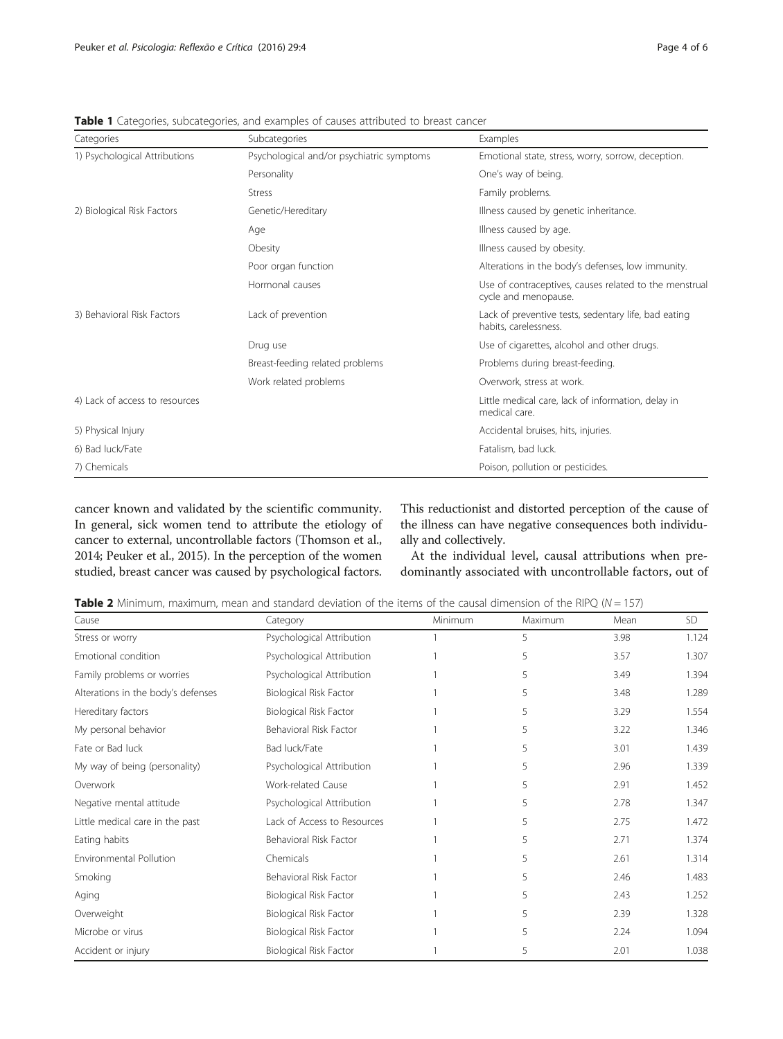| Categories                     | Subcategories                             | Examples                                                                       |
|--------------------------------|-------------------------------------------|--------------------------------------------------------------------------------|
| 1) Psychological Attributions  | Psychological and/or psychiatric symptoms | Emotional state, stress, worry, sorrow, deception.                             |
|                                | Personality                               | One's way of being.                                                            |
|                                | <b>Stress</b>                             | Family problems.                                                               |
| 2) Biological Risk Factors     | Genetic/Hereditary                        | Illness caused by genetic inheritance.                                         |
|                                | Age                                       | Illness caused by age.                                                         |
|                                | Obesity                                   | Illness caused by obesity.                                                     |
|                                | Poor organ function                       | Alterations in the body's defenses, low immunity.                              |
|                                | Hormonal causes                           | Use of contraceptives, causes related to the menstrual<br>cycle and menopause. |
| 3) Behavioral Risk Factors     | Lack of prevention                        | Lack of preventive tests, sedentary life, bad eating<br>habits, carelessness.  |
|                                | Drug use                                  | Use of cigarettes, alcohol and other drugs.                                    |
|                                | Breast-feeding related problems           | Problems during breast-feeding.                                                |
|                                | Work related problems                     | Overwork, stress at work.                                                      |
| 4) Lack of access to resources |                                           | Little medical care, lack of information, delay in<br>medical care.            |
| 5) Physical Injury             |                                           | Accidental bruises, hits, injuries.                                            |
| 6) Bad luck/Fate               |                                           | Fatalism, bad luck.                                                            |
| 7) Chemicals                   |                                           | Poison, pollution or pesticides.                                               |

<span id="page-3-0"></span>Table 1 Categories, subcategories, and examples of causes attributed to breast cancer

cancer known and validated by the scientific community. In general, sick women tend to attribute the etiology of cancer to external, uncontrollable factors (Thomson et al., [2014;](#page-5-0) Peuker et al., [2015\)](#page-5-0). In the perception of the women studied, breast cancer was caused by psychological factors.

This reductionist and distorted perception of the cause of the illness can have negative consequences both individually and collectively.

At the individual level, causal attributions when predominantly associated with uncontrollable factors, out of

**Table 2** Minimum, maximum, mean and standard deviation of the items of the causal dimension of the RIPQ ( $N = 157$ )

| Cause                              | Category                    | Minimum | Maximum | Mean | SD    |
|------------------------------------|-----------------------------|---------|---------|------|-------|
| Stress or worry                    | Psychological Attribution   |         | 5       | 3.98 | 1.124 |
| Emotional condition                | Psychological Attribution   |         | 5       | 3.57 | 1.307 |
| Family problems or worries         | Psychological Attribution   |         | 5       | 3.49 | 1.394 |
| Alterations in the body's defenses | Biological Risk Factor      |         | 5       | 3.48 | 1.289 |
| Hereditary factors                 | Biological Risk Factor      |         | 5       | 3.29 | 1.554 |
| My personal behavior               | Behavioral Risk Factor      |         | 5       | 3.22 | 1.346 |
| Fate or Bad luck                   | Bad luck/Fate               |         | 5       | 3.01 | 1.439 |
| My way of being (personality)      | Psychological Attribution   |         | 5       | 2.96 | 1.339 |
| Overwork                           | Work-related Cause          |         | 5       | 2.91 | 1.452 |
| Negative mental attitude           | Psychological Attribution   |         | 5       | 2.78 | 1.347 |
| Little medical care in the past    | Lack of Access to Resources |         | 5       | 2.75 | 1.472 |
| Eating habits                      | Behavioral Risk Factor      |         | 5       | 2.71 | 1.374 |
| Environmental Pollution            | Chemicals                   |         | 5       | 2.61 | 1.314 |
| Smoking                            | Behavioral Risk Factor      |         | 5       | 2.46 | 1.483 |
| Aging                              | Biological Risk Factor      |         | 5       | 2.43 | 1.252 |
| Overweight                         | Biological Risk Factor      |         | 5       | 2.39 | 1.328 |
| Microbe or virus                   | Biological Risk Factor      |         | 5       | 2.24 | 1.094 |
| Accident or injury                 | Biological Risk Factor      |         | 5       | 2.01 | 1.038 |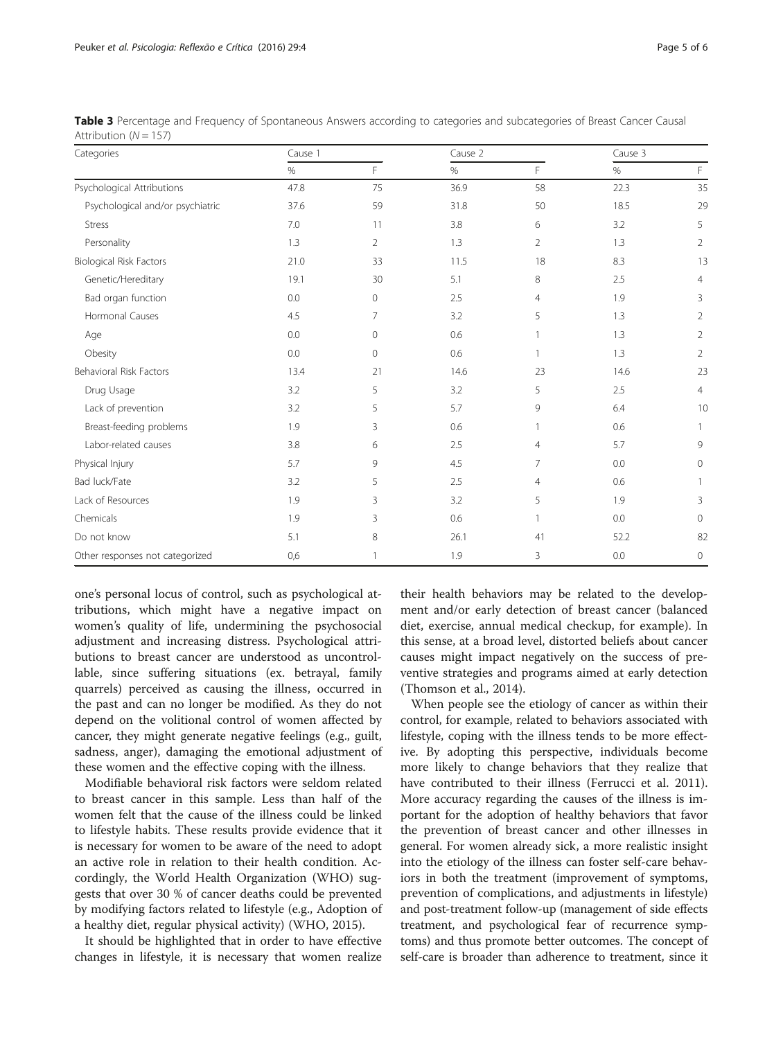| Categories                       | Cause 1 |                | Cause 2 |                |      | Cause 3        |  |
|----------------------------------|---------|----------------|---------|----------------|------|----------------|--|
|                                  | $\%$    | F              | $\%$    | F.             | $\%$ | F              |  |
| Psychological Attributions       | 47.8    | 75             | 36.9    | 58             | 22.3 | 35             |  |
| Psychological and/or psychiatric | 37.6    | 59             | 31.8    | 50             | 18.5 | 29             |  |
| <b>Stress</b>                    | 7.0     | 11             | 3.8     | 6              | 3.2  | 5              |  |
| Personality                      | 1.3     | $\overline{2}$ | 1.3     | $\overline{2}$ | 1.3  | 2              |  |
| <b>Biological Risk Factors</b>   | 21.0    | 33             | 11.5    | 18             | 8.3  | 13             |  |
| Genetic/Hereditary               | 19.1    | 30             | 5.1     | 8              | 2.5  | $\overline{4}$ |  |
| Bad organ function               | 0.0     | $\Omega$       | 2.5     | $\overline{4}$ | 1.9  | 3              |  |
| Hormonal Causes                  | 4.5     | 7              | 3.2     | 5              | 1.3  | $\overline{2}$ |  |
| Age                              | 0.0     | $\mathbf{0}$   | 0.6     | $\mathbf{1}$   | 1.3  | $\overline{2}$ |  |
| Obesity                          | 0.0     | $\mathbf{0}$   | 0.6     |                | 1.3  | 2              |  |
| <b>Behavioral Risk Factors</b>   | 13.4    | 21             | 14.6    | 23             | 14.6 | 23             |  |
| Drug Usage                       | 3.2     | 5              | 3.2     | 5              | 2.5  | $\overline{4}$ |  |
| Lack of prevention               | 3.2     | 5              | 5.7     | 9              | 6.4  | 10             |  |
| Breast-feeding problems          | 1.9     | 3              | 0.6     | $\mathbf{1}$   | 0.6  |                |  |
| Labor-related causes             | 3.8     | 6              | 2.5     | $\overline{4}$ | 5.7  | 9              |  |
| Physical Injury                  | 5.7     | 9              | 4.5     | $\overline{7}$ | 0.0  | $\mathbf{0}$   |  |
| Bad luck/Fate                    | 3.2     | 5              | 2.5     | $\overline{4}$ | 0.6  |                |  |
| Lack of Resources                | 1.9     | 3              | 3.2     | 5              | 1.9  | 3              |  |
| Chemicals                        | 1.9     | 3              | 0.6     |                | 0.0  | $\mathbf{0}$   |  |
| Do not know                      | 5.1     | 8              | 26.1    | 41             | 52.2 | 82             |  |
| Other responses not categorized  | 0,6     | 1              | 1.9     | 3              | 0.0  | $\overline{0}$ |  |

<span id="page-4-0"></span>Table 3 Percentage and Frequency of Spontaneous Answers according to categories and subcategories of Breast Cancer Causal Attribution  $(N = 157)$ 

one's personal locus of control, such as psychological attributions, which might have a negative impact on women's quality of life, undermining the psychosocial adjustment and increasing distress. Psychological attributions to breast cancer are understood as uncontrollable, since suffering situations (ex. betrayal, family quarrels) perceived as causing the illness, occurred in the past and can no longer be modified. As they do not depend on the volitional control of women affected by cancer, they might generate negative feelings (e.g., guilt, sadness, anger), damaging the emotional adjustment of these women and the effective coping with the illness.

Modifiable behavioral risk factors were seldom related to breast cancer in this sample. Less than half of the women felt that the cause of the illness could be linked to lifestyle habits. These results provide evidence that it is necessary for women to be aware of the need to adopt an active role in relation to their health condition. Accordingly, the World Health Organization (WHO) suggests that over 30 % of cancer deaths could be prevented by modifying factors related to lifestyle (e.g., Adoption of a healthy diet, regular physical activity) (WHO, [2015\)](#page-5-0).

It should be highlighted that in order to have effective changes in lifestyle, it is necessary that women realize their health behaviors may be related to the development and/or early detection of breast cancer (balanced diet, exercise, annual medical checkup, for example). In this sense, at a broad level, distorted beliefs about cancer causes might impact negatively on the success of preventive strategies and programs aimed at early detection (Thomson et al., [2014\)](#page-5-0).

When people see the etiology of cancer as within their control, for example, related to behaviors associated with lifestyle, coping with the illness tends to be more effective. By adopting this perspective, individuals become more likely to change behaviors that they realize that have contributed to their illness (Ferrucci et al. [2011](#page-5-0)). More accuracy regarding the causes of the illness is important for the adoption of healthy behaviors that favor the prevention of breast cancer and other illnesses in general. For women already sick, a more realistic insight into the etiology of the illness can foster self-care behaviors in both the treatment (improvement of symptoms, prevention of complications, and adjustments in lifestyle) and post-treatment follow-up (management of side effects treatment, and psychological fear of recurrence symptoms) and thus promote better outcomes. The concept of self-care is broader than adherence to treatment, since it